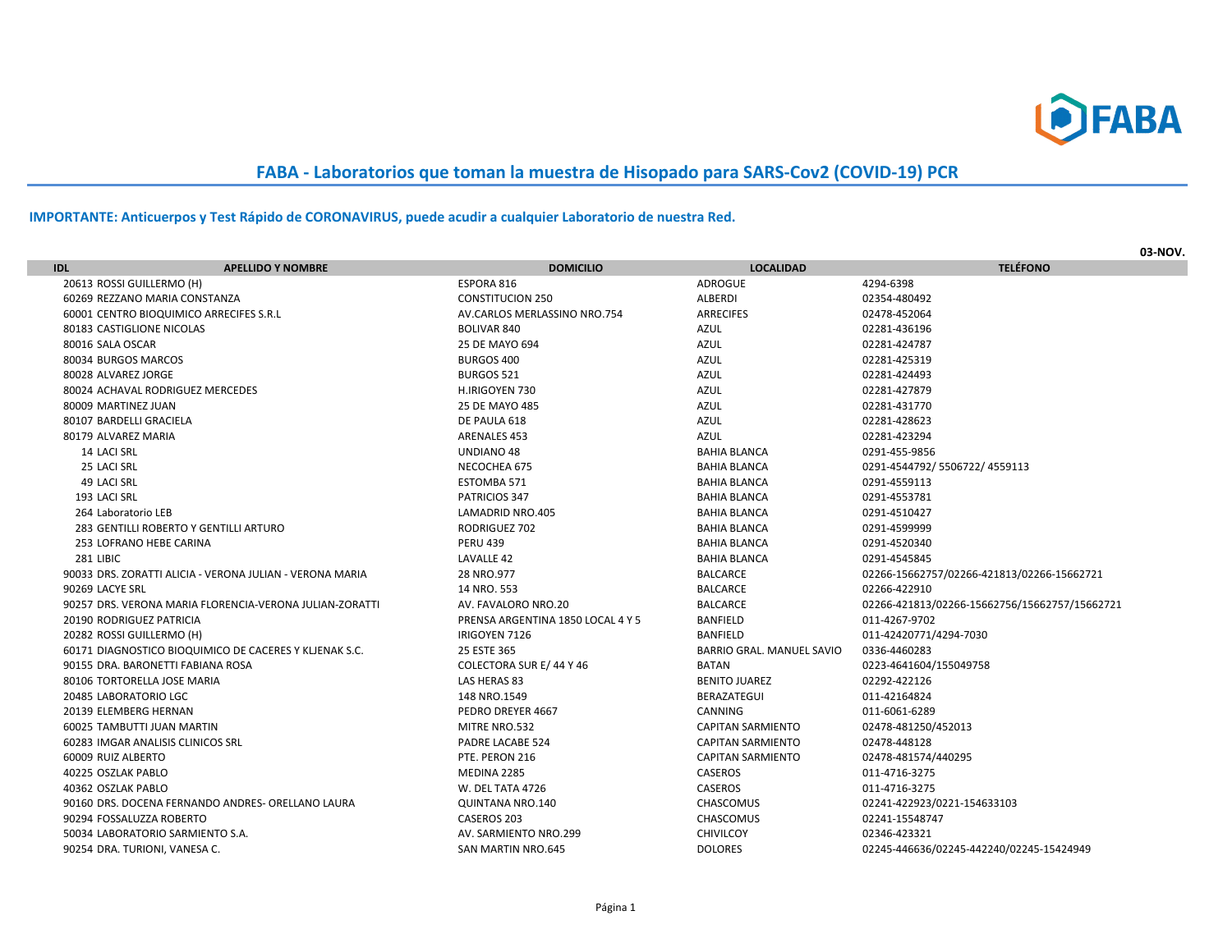

## **FABA - Laboratorios que toman la muestra de Hisopado para SARS-Cov2 (COVID-19) PCR**

## **IMPORTANTE: Anticuerpos y Test Rápido de CORONAVIRUS, puede acudir a cualquier Laboratorio de nuestra Red.**

|                                                   |                                                          |                                   |                           | 03-NOV.                                       |
|---------------------------------------------------|----------------------------------------------------------|-----------------------------------|---------------------------|-----------------------------------------------|
| <b>IDL</b>                                        | <b>APELLIDO Y NOMBRE</b>                                 | <b>DOMICILIO</b>                  | <b>LOCALIDAD</b>          | <b>TELÉFONO</b>                               |
| 20613 ROSSI GUILLERMO (H)                         |                                                          | ESPORA 816                        | ADROGUE                   | 4294-6398                                     |
| 60269 REZZANO MARIA CONSTANZA                     |                                                          | <b>CONSTITUCION 250</b>           | ALBERDI                   | 02354-480492                                  |
| 60001 CENTRO BIOQUIMICO ARRECIFES S.R.L           |                                                          | AV.CARLOS MERLASSINO NRO.754      | <b>ARRECIFES</b>          | 02478-452064                                  |
| 80183 CASTIGLIONE NICOLAS                         |                                                          | <b>BOLIVAR 840</b>                | <b>AZUL</b>               | 02281-436196                                  |
| 80016 SALA OSCAR                                  |                                                          | 25 DE MAYO 694                    | <b>AZUL</b>               | 02281-424787                                  |
| 80034 BURGOS MARCOS                               |                                                          | BURGOS 400                        | <b>AZUL</b>               | 02281-425319                                  |
| 80028 ALVAREZ JORGE                               |                                                          | <b>BURGOS 521</b>                 | <b>AZUL</b>               | 02281-424493                                  |
| 80024 ACHAVAL RODRIGUEZ MERCEDES                  |                                                          | H.IRIGOYEN 730                    | <b>AZUL</b>               | 02281-427879                                  |
| 80009 MARTINEZ JUAN                               |                                                          | 25 DE MAYO 485                    | <b>AZUL</b>               | 02281-431770                                  |
| 80107 BARDELLI GRACIELA                           |                                                          | DE PAULA 618                      | <b>AZUL</b>               | 02281-428623                                  |
| 80179 ALVAREZ MARIA                               |                                                          | <b>ARENALES 453</b>               | <b>AZUL</b>               | 02281-423294                                  |
| 14 LACI SRL                                       |                                                          | UNDIANO 48                        | <b>BAHIA BLANCA</b>       | 0291-455-9856                                 |
| 25 LACI SRL                                       |                                                          | NECOCHEA 675                      | <b>BAHIA BLANCA</b>       | 0291-4544792/5506722/4559113                  |
| 49 LACI SRL                                       |                                                          | ESTOMBA 571                       | <b>BAHIA BLANCA</b>       | 0291-4559113                                  |
| 193 LACI SRL                                      |                                                          | PATRICIOS 347                     | <b>BAHIA BLANCA</b>       | 0291-4553781                                  |
| 264 Laboratorio LEB                               |                                                          | LAMADRID NRO.405                  | <b>BAHIA BLANCA</b>       | 0291-4510427                                  |
|                                                   | 283 GENTILLI ROBERTO Y GENTILLI ARTURO                   | <b>RODRIGUEZ 702</b>              | <b>BAHIA BLANCA</b>       | 0291-4599999                                  |
| 253 LOFRANO HEBE CARINA                           |                                                          | <b>PERU 439</b>                   | <b>BAHIA BLANCA</b>       | 0291-4520340                                  |
| 281 LIBIC                                         |                                                          | LAVALLE 42                        | <b>BAHIA BLANCA</b>       | 0291-4545845                                  |
|                                                   | 90033 DRS. ZORATTI ALICIA - VERONA JULIAN - VERONA MARIA | 28 NRO.977                        | <b>BALCARCE</b>           | 02266-15662757/02266-421813/02266-15662721    |
| 90269 LACYE SRL                                   |                                                          | 14 NRO. 553                       | <b>BALCARCE</b>           | 02266-422910                                  |
|                                                   | 90257 DRS. VERONA MARIA FLORENCIA-VERONA JULIAN-ZORATTI  | AV. FAVALORO NRO.20               | <b>BALCARCE</b>           | 02266-421813/02266-15662756/15662757/15662721 |
| <b>20190 RODRIGUEZ PATRICIA</b>                   |                                                          | PRENSA ARGENTINA 1850 LOCAL 4 Y 5 | <b>BANFIELD</b>           | 011-4267-9702                                 |
| 20282 ROSSI GUILLERMO (H)                         |                                                          | IRIGOYEN 7126                     | <b>BANFIELD</b>           | 011-42420771/4294-7030                        |
|                                                   | 60171 DIAGNOSTICO BIOQUIMICO DE CACERES Y KLJENAK S.C.   | 25 ESTE 365                       | BARRIO GRAL, MANUEL SAVIO | 0336-4460283                                  |
| 90155 DRA. BARONETTI FABIANA ROSA                 |                                                          | COLECTORA SUR E/44 Y 46           | <b>BATAN</b>              | 0223-4641604/155049758                        |
| 80106 TORTORELLA JOSE MARIA                       |                                                          | LAS HERAS 83                      | <b>BENITO JUAREZ</b>      | 02292-422126                                  |
| 20485 LABORATORIO LGC                             |                                                          | 148 NRO.1549                      | BERAZATEGUI               | 011-42164824                                  |
| 20139 ELEMBERG HERNAN                             |                                                          | PEDRO DREYER 4667                 | CANNING                   | 011-6061-6289                                 |
| 60025 TAMBUTTI JUAN MARTIN                        |                                                          | MITRE NRO.532                     | <b>CAPITAN SARMIENTO</b>  | 02478-481250/452013                           |
| 60283 IMGAR ANALISIS CLINICOS SRL                 |                                                          | <b>PADRE LACABE 524</b>           | <b>CAPITAN SARMIENTO</b>  | 02478-448128                                  |
| 60009 RUIZ ALBERTO                                |                                                          | PTE. PERON 216                    | <b>CAPITAN SARMIENTO</b>  | 02478-481574/440295                           |
| 40225 OSZLAK PABLO                                |                                                          | MEDINA 2285                       | CASEROS                   | 011-4716-3275                                 |
| 40362 OSZLAK PABLO                                |                                                          | W. DEL TATA 4726                  | CASEROS                   | 011-4716-3275                                 |
| 90160 DRS. DOCENA FERNANDO ANDRES- ORELLANO LAURA |                                                          | QUINTANA NRO.140                  | <b>CHASCOMUS</b>          | 02241-422923/0221-154633103                   |
| 90294 FOSSALUZZA ROBERTO                          |                                                          | CASEROS 203                       | CHASCOMUS                 | 02241-15548747                                |
| 50034 LABORATORIO SARMIENTO S.A.                  |                                                          | AV. SARMIENTO NRO.299             | <b>CHIVILCOY</b>          | 02346-423321                                  |
| 90254 DRA. TURIONI, VANESA C.                     |                                                          | <b>SAN MARTIN NRO.645</b>         | <b>DOLORES</b>            | 02245-446636/02245-442240/02245-15424949      |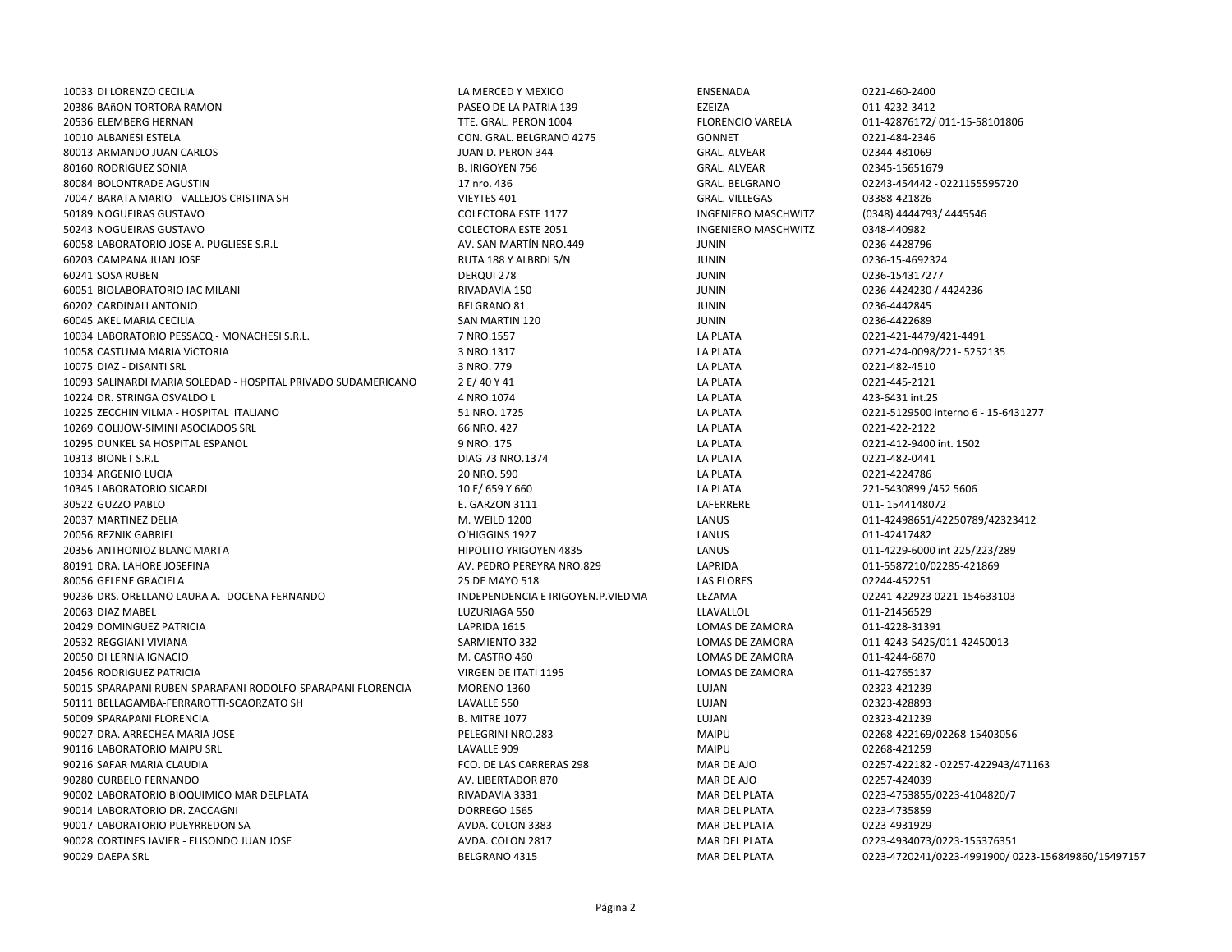DI LORENZO CECILIA LA MERCED Y MEXICO ENSENADA 0221-460-2400 BAñON TORTORA RAMON PASEO DE LA PATRIA 139 EZEIZA 011-4232-3412 ELEMBERG HERNAN TTE. GRAL. PERON 1004 FLORENCIO VARELA 011-42876172/ 011-15-58101806 ALBANESI ESTELA CON. GRAL. BELGRANO 4275 GONNET 0221-484-2346 ARMANDO JUAN CARLOS JUAN D. PERON 344 GRAL. ALVEAR 02344-481069 RODRIGUEZ SONIA B. IRIGOYEN 756 GRAL. ALVEAR 02345-15651679 80084 BOLONTRADE AGUSTIN NEWSLEY AGUSTIN 17 nro. 436 17 nro. 436 GRAL. BELGRANO 02243-454442 - 0221155595720 BARATA MARIO - VALLEJOS CRISTINA SH VIEYTES 401 GRAL. VILLEGAS 03388-421826 50189 NOGUEIRAS GUSTAVO **SOLECTORA ESTE 1177** COLECTORA ESTE 1177 INGENIERO MASCHWITZ (0348) 4444793/ 4445546 NOGUEIRAS GUSTAVO COLECTORA ESTE 2051 INGENIERO MASCHWITZ 0348-440982 LABORATORIO JOSE A. PUGLIESE S.R.L AV. SAN MARTÍN NRO.449 JUNIN 0236-4428796 CAMPANA JUAN JOSE RUTA 188 Y ALBRDI S/N JUNIN 0236-15-4692324 SOSA RUBEN DERQUI 278 JUNIN 0236-154317277 BIOLABORATORIO IAC MILANI RIVADAVIA 150 JUNIN 0236-4424230 / 4424236 CARDINALI ANTONIO BELGRANO 81 JUNIN 0236-4442845 AKEL MARIA CECILIA SAN MARTIN 120 JUNIN 0236-4422689 LABORATORIO PESSACQ - MONACHESI S.R.L. 7 NRO.1557 LA PLATA 0221-421-4479/421-4491 CASTUMA MARIA ViCTORIA 3 NRO.1317 LA PLATA 0221-424-0098/221- 5252135 DIAZ - DISANTI SRL 3 NRO. 779 LA PLATA 0221-482-4510 SALINARDI MARIA SOLEDAD - HOSPITAL PRIVADO SUDAMERICANO 2 E/ 40 Y 41 LA PLATA 0221-445-2121 DR. STRINGA OSVALDO L 4 NRO.1074 LA PLATA 423-6431 int.25 ZECCHIN VILMA - HOSPITAL ITALIANO 51 NRO. 1725 LA PLATA 0221-5129500 interno 6 - 15-6431277 GOLIJOW-SIMINI ASOCIADOS SRL 66 NRO. 427 LA PLATA 0221-422-2122 DUNKEL SA HOSPITAL ESPANOL 9 NRO. 175 LA PLATA 0221-412-9400 int. 1502 BIONET S.R.L DIAG 73 NRO.1374 LA PLATA 0221-482-0441 ARGENIO LUCIA 20 NRO. 590 LA PLATA 0221-4224786 LABORATORIO SICARDI 10 E/ 659 Y 660 LA PLATA 221-5430899 /452 5606 GUZZO PABLO E. GARZON 3111 LAFERRERE 011- 1544148072 MARTINEZ DELIA M. WEILD 1200 LANUS 011-42498651/42250789/42323412 REZNIK GABRIEL O'HIGGINS 1927 LANUS 011-42417482 ANTHONIOZ BLANC MARTA HIPOLITO YRIGOYEN 4835 LANUS 011-4229-6000 int 225/223/289 DRA. LAHORE JOSEFINA AV. PEDRO PEREYRA NRO.829 LAPRIDA 011-5587210/02285-421869 GELENE GRACIELA 25 DE MAYO 518 LAS FLORES 02244-452251 DRS. ORELLANO LAURA A.- DOCENA FERNANDO INDEPENDENCIA E IRIGOYEN.P.VIEDMA LEZAMA 02241-422923 0221-154633103 DIAZ MABEL LUZURIAGA 550 LLAVALLOL 011-21456529 DOMINGUEZ PATRICIA LAPRIDA 1615 LOMAS DE ZAMORA 011-4228-31391 REGGIANI VIVIANA SARMIENTO 332 LOMAS DE ZAMORA 011-4243-5425/011-42450013 DI LERNIA IGNACIO M. CASTRO 460 LOMAS DE ZAMORA 011-4244-6870 RODRIGUEZ PATRICIA VIRGEN DE ITATI 1195 LOMAS DE ZAMORA 011-42765137 SPARAPANI RUBEN-SPARAPANI RODOLFO-SPARAPANI FLORENCIA MORENO 1360 LUJAN 02323-421239 BELLAGAMBA-FERRAROTTI-SCAORZATO SH LAVALLE 550 LUJAN 02323-428893 SPARAPANI FLORENCIA B. MITRE 1077 LUJAN 02323-421239 DRA. ARRECHEA MARIA JOSE PELEGRINI NRO.283 MAIPU 02268-422169/02268-15403056 LABORATORIO MAIPU SRL LAVALLE 909 MAIPU 02268-421259 SAFAR MARIA CLAUDIA FCO. DE LAS CARRERAS 298 MAR DE AJO 02257-422182 - 02257-422943/471163 CURBELO FERNANDO AV. LIBERTADOR 870 MAR DE AJO 02257-424039 LABORATORIO BIOQUIMICO MAR DELPLATA RIVADAVIA 3331 MAR DEL PLATA 0223-4753855/0223-4104820/7 LABORATORIO DR. ZACCAGNI DORREGO 1565 MAR DEL PLATA 0223-4735859 LABORATORIO PUEYRREDON SA AVDA. COLON 3383 MAR DEL PLATA 0223-4931929 CORTINES JAVIER - ELISONDO JUAN JOSE AVDA. COLON 2817 MAR DEL PLATA 0223-4934073/0223-155376351 DAEPA SRL BELGRANO 4315 MAR DEL PLATA 0223-4720241/0223-4991900/ 0223-156849860/15497157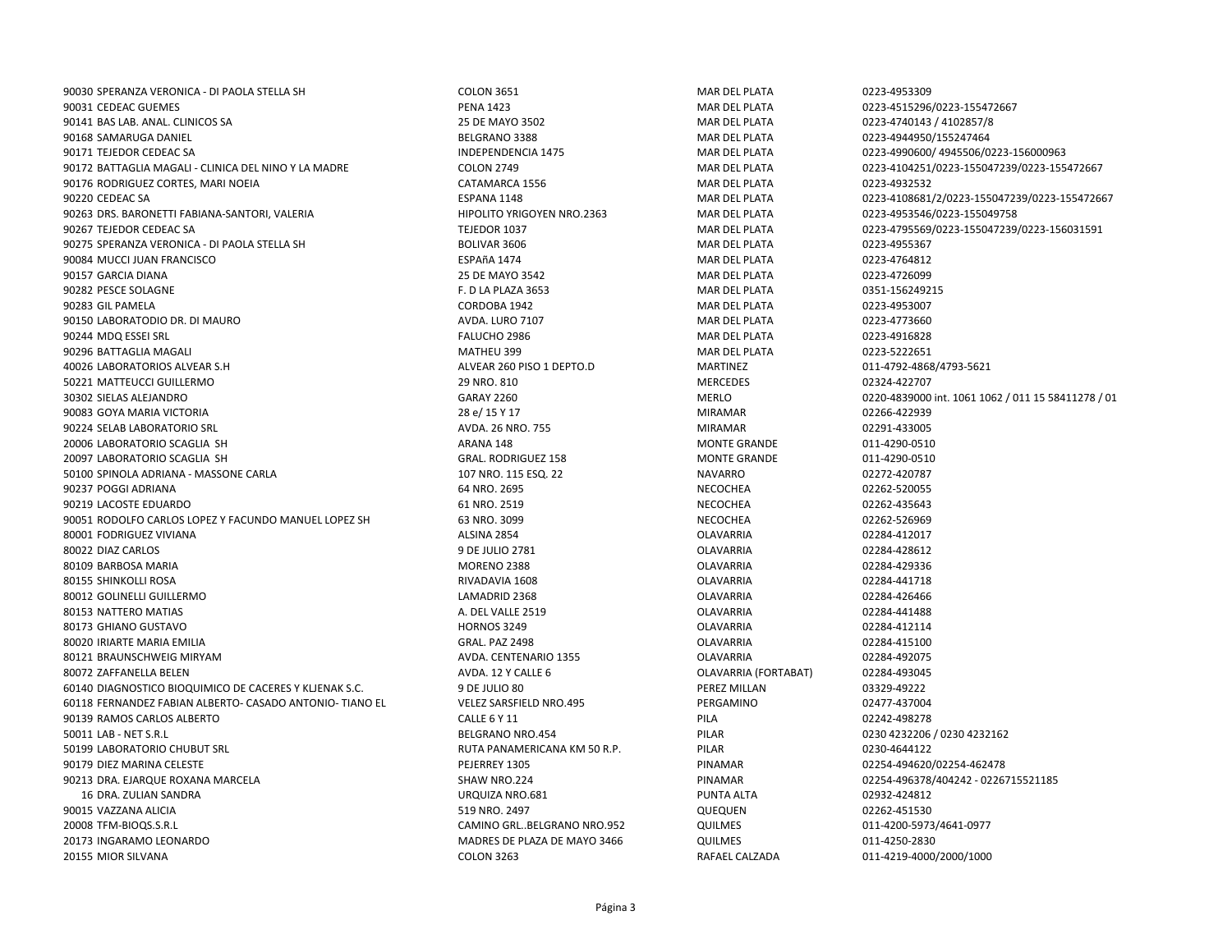SPERANZA VERONICA - DI PAOLA STELLA SH COLON 3651 MAR DEL PLATA 0223-4953309 CEDEAC GUEMES PENA 1423 MAR DEL PLATA 0223-4515296/0223-155472667 BAS LAB. ANAL. CLINICOS SA 25 DE MAYO 3502 MAR DEL PLATA 0223-4740143 / 4102857/8 SAMARUGA DANIEL BELGRANO 3388 MAR DEL PLATA 0223-4944950/155247464 TEJEDOR CEDEAC SA INDEPENDENCIA 1475 MAR DEL PLATA 0223-4990600/ 4945506/0223-156000963 BATTAGLIA MAGALI - CLINICA DEL NINO Y LA MADRE COLON 2749 MAR DEL PLATA 0223-4104251/0223-155047239/0223-155472667 RODRIGUEZ CORTES, MARI NOEIA CATAMARCA 1556 MAR DEL PLATA 0223-4932532 CEDEAC SA ESPANA 1148 MAR DEL PLATA 0223-4108681/2/0223-155047239/0223-155472667 DRS. BARONETTI FABIANA-SANTORI, VALERIA HIPOLITO YRIGOYEN NRO.2363 MAR DEL PLATA 0223-4953546/0223-155049758 TEJEDOR CEDEAC SA TEJEDOR 1037 MAR DEL PLATA 0223-4795569/0223-155047239/0223-156031591 SPERANZA VERONICA - DI PAOLA STELLA SH BOLIVAR 3606 MAR DEL PLATA 0223-4955367 MUCCI JUAN FRANCISCO ESPAñA 1474 MAR DEL PLATA 0223-4764812 GARCIA DIANA 25 DE MAYO 3542 MAR DEL PLATA 0223-4726099 PESCE SOLAGNE F. D LA PLAZA 3653 MAR DEL PLATA 0351-156249215 GIL PAMELA CORDOBA 1942 MAR DEL PLATA 0223-4953007 LABORATODIO DR. DI MAURO AVDA. LURO 7107 MAR DEL PLATA 0223-4773660 MDQ ESSEI SRL FALUCHO 2986 MAR DEL PLATA 0223-4916828 BATTAGLIA MAGALI MATHEU 399 MAR DEL PLATA 0223-5222651 LABORATORIOS ALVEAR S.H ALVEAR 260 PISO 1 DEPTO.D MARTINEZ 011-4792-4868/4793-5621 MATTEUCCI GUILLERMO 29 NRO. 810 MERCEDES 02324-422707 SIELAS ALEJANDRO GARAY 2260 MERLO 0220-4839000 int. 1061 1062 / 011 15 58411278 / 01 GOYA MARIA VICTORIA 28 e/ 15 Y 17 MIRAMAR 02266-422939 SELAB LABORATORIO SRL AVDA. 26 NRO. 755 MIRAMAR 02291-433005 20006 LABORATORIO SCAGLIA SH ARANA 148 ARANA 148 ARANA 148 MONTE GRANDE 20006 LABORATORIO SCAGLIA SH LABORATORIO SCAGLIA SH GRAL. RODRIGUEZ 158 MONTE GRANDE 011-4290-0510 SPINOLA ADRIANA - MASSONE CARLA 107 NRO. 115 ESQ. 22 NAVARRO 02272-420787 POGGI ADRIANA 64 NRO. 2695 NECOCHEA 02262-520055 LACOSTE EDUARDO 61 NRO. 2519 NECOCHEA 02262-435643 RODOLFO CARLOS LOPEZ Y FACUNDO MANUEL LOPEZ SH 63 NRO. 3099 NECOCHEA 02262-526969 FODRIGUEZ VIVIANA ALSINA 2854 OLAVARRIA 02284-412017 DIAZ CARLOS 9 DE JULIO 2781 OLAVARRIA 02284-428612 BARBOSA MARIA MORENO 2388 OLAVARRIA 02284-429336 SHINKOLLI ROSA RIVADAVIA 1608 OLAVARRIA 02284-441718 GOLINELLI GUILLERMO LAMADRID 2368 OLAVARRIA 02284-426466 NATTERO MATIAS A. DEL VALLE 2519 OLAVARRIA 02284-441488 GHIANO GUSTAVO HORNOS 3249 OLAVARRIA 02284-412114 IRIARTE MARIA EMILIA GRAL. PAZ 2498 OLAVARRIA 02284-415100 BRAUNSCHWEIG MIRYAM AVDA. CENTENARIO 1355 OLAVARRIA 02284-492075 80072 ZAFFANELLA BELEN 80072 ZAFFANELLA BELEN 80072 ZAFFANELLA BELEN 80072 ZAFFANELLA BELEN 80072 DENVARRIA (FORTABAT) 60140 DIAGNOSTICO BIOQUIMICO DE CACERES Y KLJENAK S.C. 9 9 DE JULIO 80 PEREZ MILLAN PEREZ MILLAN 03329-49222 FERNANDEZ FABIAN ALBERTO- CASADO ANTONIO- TIANO EL VELEZ SARSFIELD NRO.495 PERGAMINO 02477-437004 RAMOS CARLOS ALBERTO CALLE 6 Y 11 PILA 02242-498278 LAB - NET S.R.L BELGRANO NRO.454 PILAR 0230 4232206 / 0230 4232162 LABORATORIO CHUBUT SRL RUTA PANAMERICANA KM 50 R.P. PILAR 0230-4644122 DIEZ MARINA CELESTE PEJERREY 1305 PINAMAR 02254-494620/02254-462478 DRA. EJARQUE ROXANA MARCELA SHAW NRO.224 PINAMAR 02254-496378/404242 - 0226715521185 DRA. ZULIAN SANDRA URQUIZA NRO.681 PUNTA ALTA 02932-424812 VAZZANA ALICIA 519 NRO. 2497 QUEQUEN 02262-451530 TFM-BIOQS.S.R.L CAMINO GRL..BELGRANO NRO.952 QUILMES 011-4200-5973/4641-0977 INGARAMO LEONARDO MADRES DE PLAZA DE MAYO 3466 QUILMES 011-4250-2830 MIOR SILVANA COLON 3263 RAFAEL CALZADA 011-4219-4000/2000/1000